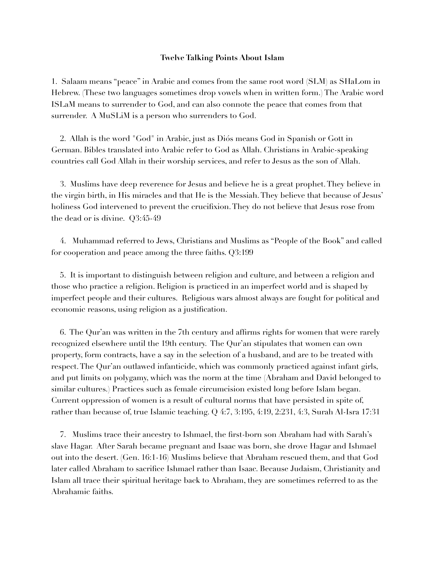## **Twelve Talking Points About Islam**

1. Salaam means "peace" in Arabic and comes from the same root word (SLM) as SHaLom in Hebrew. (These two languages sometimes drop vowels when in written form.) The Arabic word ISLaM means to surrender to God, and can also connote the peace that comes from that surrender. A MuSLiM is a person who surrenders to God.

 2. Allah is the word "God" in Arabic, just as Diós means God in Spanish or Gott in German. Bibles translated into Arabic refer to God as Allah. Christians in Arabic-speaking countries call God Allah in their worship services, and refer to Jesus as the son of Allah.

 3. Muslims have deep reverence for Jesus and believe he is a great prophet. They believe in the virgin birth, in His miracles and that He is the Messiah. They believe that because of Jesus' holiness God intervened to prevent the crucifixion. They do not believe that Jesus rose from the dead or is divine. Q3:45-49

 4. Muhammad referred to Jews, Christians and Muslims as "People of the Book" and called for cooperation and peace among the three faiths. Q3:199

 5. It is important to distinguish between religion and culture, and between a religion and those who practice a religion. Religion is practiced in an imperfect world and is shaped by imperfect people and their cultures. Religious wars almost always are fought for political and economic reasons, using religion as a justification.

 6. The Qur'an was written in the 7th century and affirms rights for women that were rarely recognized elsewhere until the 19th century. The Qur'an stipulates that women can own property, form contracts, have a say in the selection of a husband, and are to be treated with respect. The Qur'an outlawed infanticide, which was commonly practiced against infant girls, and put limits on polygamy, which was the norm at the time (Abraham and David belonged to similar cultures.) Practices such as female circumcision existed long before Islam began. Current oppression of women is a result of cultural norms that have persisted in spite of, rather than because of, true Islamic teaching. Q 4:7, 3:195, 4:19, 2:231, 4:3, Surah Al-Isra 17:31

 7. Muslims trace their ancestry to Ishmael, the first-born son Abraham had with Sarah's slave Hagar. After Sarah became pregnant and Isaac was born, she drove Hagar and Ishmael out into the desert. (Gen. 16:1-16) Muslims believe that Abraham rescued them, and that God later called Abraham to sacrifice Ishmael rather than Isaac. Because Judaism, Christianity and Islam all trace their spiritual heritage back to Abraham, they are sometimes referred to as the Abrahamic faiths.